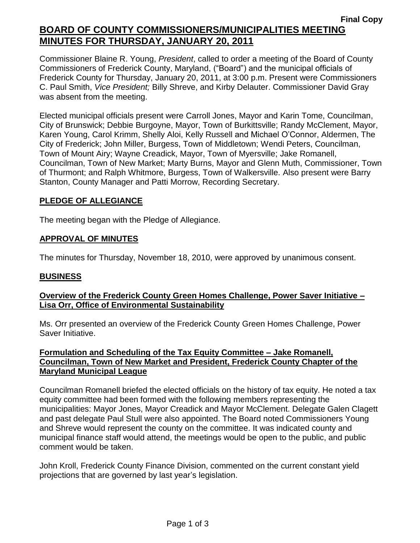# **Final Copy BOARD OF COUNTY COMMISSIONERS/MUNICIPALITIES MEETING MINUTES FOR THURSDAY, JANUARY 20, 2011**

Commissioner Blaine R. Young, *President*, called to order a meeting of the Board of County Commissioners of Frederick County, Maryland, ("Board") and the municipal officials of Frederick County for Thursday, January 20, 2011, at 3:00 p.m. Present were Commissioners C. Paul Smith, *Vice President;* Billy Shreve, and Kirby Delauter. Commissioner David Gray was absent from the meeting.

Elected municipal officials present were Carroll Jones, Mayor and Karin Tome, Councilman, City of Brunswick; Debbie Burgoyne, Mayor, Town of Burkittsville; Randy McClement, Mayor, Karen Young, Carol Krimm, Shelly Aloi, Kelly Russell and Michael O'Connor, Aldermen, The City of Frederick; John Miller, Burgess, Town of Middletown; Wendi Peters, Councilman, Town of Mount Airy; Wayne Creadick, Mayor, Town of Myersville; Jake Romanell, Councilman, Town of New Market; Marty Burns, Mayor and Glenn Muth, Commissioner, Town of Thurmont; and Ralph Whitmore, Burgess, Town of Walkersville. Also present were Barry Stanton, County Manager and Patti Morrow, Recording Secretary.

# **PLEDGE OF ALLEGIANCE**

The meeting began with the Pledge of Allegiance.

## *1BU***APPROVAL OF MINUTES**

The minutes for Thursday, November 18, 2010, were approved by unanimous consent.

## *2BU***BUSINESS**

# *<sup>U</sup>***Overview of the Frederick County Green Homes Challenge, Power Saver Initiative – Lisa Orr, Office of Environmental Sustainability**

Ms. Orr presented an overview of the Frederick County Green Homes Challenge, Power Saver Initiative.

## *<sup>U</sup>***Formulation and Scheduling of the Tax Equity Committee – Jake Romanell, Councilman, Town of New Market and President, Frederick County Chapter of the Maryland Municipal League**

Councilman Romanell briefed the elected officials on the history of tax equity. He noted a tax equity committee had been formed with the following members representing the municipalities: Mayor Jones, Mayor Creadick and Mayor McClement. Delegate Galen Clagett and past delegate Paul Stull were also appointed. The Board noted Commissioners Young and Shreve would represent the county on the committee. It was indicated county and municipal finance staff would attend, the meetings would be open to the public, and public comment would be taken.

John Kroll, Frederick County Finance Division, commented on the current constant yield projections that are governed by last year's legislation.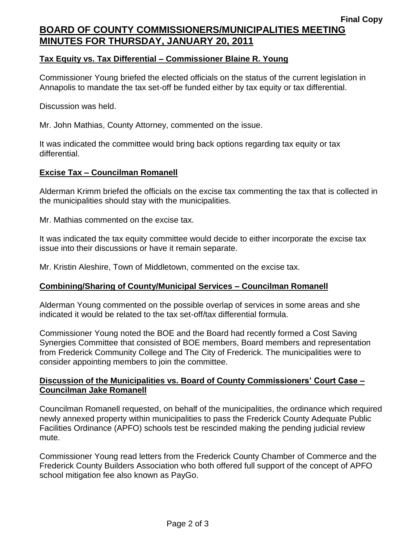# **Final Copy BOARD OF COUNTY COMMISSIONERS/MUNICIPALITIES MEETING MINUTES FOR THURSDAY, JANUARY 20, 2011**

### **Tax Equity vs. Tax Differential – Commissioner Blaine R. Young**

Commissioner Young briefed the elected officials on the status of the current legislation in Annapolis to mandate the tax set-off be funded either by tax equity or tax differential.

Discussion was held.

Mr. John Mathias, County Attorney, commented on the issue.

It was indicated the committee would bring back options regarding tax equity or tax differential.

#### **Excise Tax – Councilman Romanell**

Alderman Krimm briefed the officials on the excise tax commenting the tax that is collected in the municipalities should stay with the municipalities.

Mr. Mathias commented on the excise tax.

It was indicated the tax equity committee would decide to either incorporate the excise tax issue into their discussions or have it remain separate.

Mr. Kristin Aleshire, Town of Middletown, commented on the excise tax.

#### **Combining/Sharing of County/Municipal Services – Councilman Romanell**

Alderman Young commented on the possible overlap of services in some areas and she indicated it would be related to the tax set-off/tax differential formula.

Commissioner Young noted the BOE and the Board had recently formed a Cost Saving Synergies Committee that consisted of BOE members, Board members and representation from Frederick Community College and The City of Frederick. The municipalities were to consider appointing members to join the committee.

#### **Discussion of the Municipalities vs. Board of County Commissioners' Court Case – Councilman Jake Romanell**

Councilman Romanell requested, on behalf of the municipalities, the ordinance which required newly annexed property within municipalities to pass the Frederick County Adequate Public Facilities Ordinance (APFO) schools test be rescinded making the pending judicial review mute.

Commissioner Young read letters from the Frederick County Chamber of Commerce and the Frederick County Builders Association who both offered full support of the concept of APFO school mitigation fee also known as PayGo.